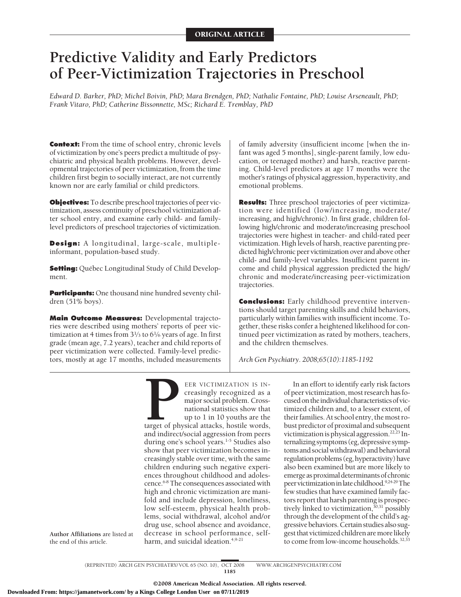# **Predictive Validity and Early Predictors of Peer-Victimization Trajectories in Preschool**

*Edward D. Barker, PhD; Michel Boivin, PhD; Mara Brendgen, PhD; Nathalie Fontaine, PhD; Louise Arseneault, PhD; Frank Vitaro, PhD; Catherine Bissonnette, MSc; Richard E. Tremblay, PhD*

**Context:** From the time of school entry, chronic levels of victimization by one's peers predict a multitude of psychiatric and physical health problems. However, developmental trajectories of peer victimization, from the time children first begin to socially interact, are not currently known nor are early familial or child predictors.

**Objectives:** To describe preschool trajectories of peer victimization, assess continuity of preschool victimization after school entry, and examine early child- and familylevel predictors of preschool trajectories of victimization.

**Design:** A longitudinal, large-scale, multipleinformant, population-based study.

**Setting:** Québec Longitudinal Study of Child Development.

**Participants:** One thousand nine hundred seventy children (51% boys).

**Main Outcome Measures:** Developmental trajectories were described using mothers' reports of peer victimization at 4 times from 31⁄3 to 61⁄6 years of age. In first grade (mean age, 7.2 years), teacher and child reports of peer victimization were collected. Family-level predictors, mostly at age 17 months, included measurements

of family adversity (insufficient income [when the infant was aged 5 months], single-parent family, low education, or teenaged mother) and harsh, reactive parenting. Child-level predictors at age 17 months were the mother's ratings of physical aggression, hyperactivity, and emotional problems.

**Results:** Three preschool trajectories of peer victimization were identified (low/increasing, moderate/ increasing, and high/chronic). In first grade, children following high/chronic and moderate/increasing preschool trajectories were highest in teacher- and child-rated peer victimization. High levels of harsh, reactive parenting predicted high/chronic peer victimization over and above other child- and family-level variables. Insufficient parent income and child physical aggression predicted the high/ chronic and moderate/increasing peer-victimization trajectories.

**Conclusions:** Early childhood preventive interventions should target parenting skills and child behaviors, particularly within families with insufficient income. Together, these risks confer a heightened likelihood for continued peer victimization as rated by mothers, teachers, and the children themselves.

*Arch Gen Psychiatry. 2008;65(10):1185-1192*

**PER VICTIMIZATION IS IN-**<br>creasingly recognized as a<br>major social problem. Cross-<br>national statistics show that<br>up to 1 in 10 youths are the<br>target of physical attacks, hostile words,<br>and indirect/social aggression from p creasingly recognized as a major social problem. Crossnational statistics show that up to 1 in 10 youths are the target of physical attacks, hostile words, and indirect/social aggression from peers during one's school years.<sup>1-5</sup> Studies also show that peer victimization becomes increasingly stable over time, with the same children enduring such negative experiences throughout childhood and adolescence.6-8 The consequences associated with high and chronic victimization are manifold and include depression, loneliness, low self-esteem, physical health problems, social withdrawal, alcohol and/or drug use, school absence and avoidance, decrease in school performance, selfharm, and suicidal ideation.<sup>4,9-21</sup>

In an effort to identify early risk factors of peer victimization, most research has focused on the individual characteristics of victimized children and, to a lesser extent, of their families. At school entry, the most robust predictor of proximal and subsequent victimization is physical aggression. $22,23$  Internalizing symptoms (eg, depressive symptoms and social withdrawal) and behavioral regulation problems (eg, hyperactivity) have also been examined but are more likely to emerge as proximal determinants of chronic peervictimizationinlatechildhood.9,24-29The few studies that have examined family factors report that harsh parenting is prospectively linked to victimization, $30,31$  possibly through the development of the child's aggressivebehaviors.Certainstudiesalsosuggest that victimized children are more likely to come from low-income households.<sup>32,33</sup>

**Author Affiliations** are listed at the end of this article.

> (REPRINTED) ARCH GEN PSYCHIATRY/ VOL 65 (NO. 10), OCT 2008 WWW.ARCHGENPSYCHIATRY.COM 1185

> > ©2008 American Medical Association. All rights reserved.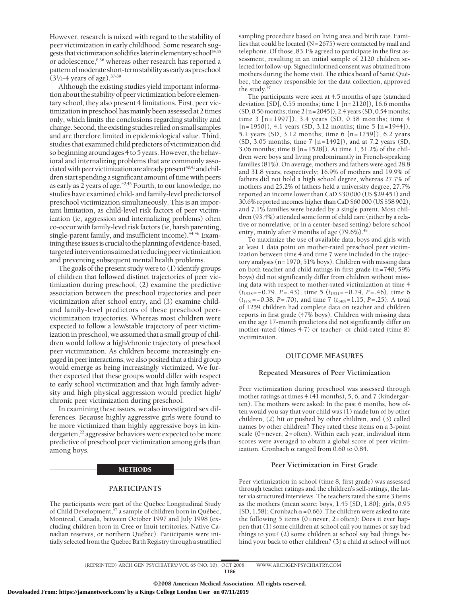However, research is mixed with regard to the stability of peer victimization in early childhood. Some research suggests that victimization solidifies later in elementary school<sup>34,35</sup> or adolescence,<sup>8,36</sup> whereas other research has reported a pattern of moderate short-term stability as early as preschool  $(3<sup>1</sup>/<sub>2</sub>-4$  years of age).<sup>37-39</sup>

Although the existing studies yield important information about the stability of peer victimization before elementary school, they also present 4 limitations. First, peer victimization in preschool has mainly been assessed at 2 times only, which limits the conclusions regarding stability and change. Second, the existing studies relied on small samples and are therefore limited in epidemiological value. Third, studies that examined child predictors of victimization did so beginning around ages 4 to 5 years. However, the behavioral and internalizing problems that are commonly associated with peer victimization are already present<sup> $40,41$ </sup> and children start spending a significant amount of time with peers as early as 2 years of age.<sup>42,43</sup> Fourth, to our knowledge, no studies have examined child- and family-level predictors of preschool victimization simultaneously. This is an important limitation, as child-level risk factors of peer victimization (ie, aggression and internalizing problems) often co-occur with family-level risk factors (ie, harsh parenting, single-parent family, and insufficient income).<sup>44-46</sup> Examining these issues is crucial to the planning of evidence-based, targeted interventions aimed at reducing peer victimization and preventing subsequent mental health problems.

The goals of the present study were to (1) identify groups of children that followed distinct trajectories of peer victimization during preschool, (2) examine the predictive association between the preschool trajectories and peer victimization after school entry, and (3) examine childand family-level predictors of these preschool peervictimization trajectories. Whereas most children were expected to follow a low/stable trajectory of peer victimization in preschool, we assumed that a small group of children would follow a high/chronic trajectory of preschool peer victimization. As children become increasingly engaged in peer interactions, we also posited that a third group would emerge as being increasingly victimized. We further expected that these groups would differ with respect to early school victimization and that high family adversity and high physical aggression would predict high/ chronic peer victimization during preschool.

In examining these issues, we also investigated sex differences. Because highly aggressive girls were found to be more victimized than highly aggressive boys in kindergarten,<sup>22</sup> aggressive behaviors were expected to be more predictive of preschool peer victimization among girls than among boys.

#### METHODS

## **PARTICIPANTS**

The participants were part of the Québec Longitudinal Study of Child Development, $\frac{4}{3}$  a sample of children born in Québec, Montreal, Canada, between October 1997 and July 1998 (excluding children born in Cree or Inuit territories, Native Canadian reserves, or northern Québec). Participants were initially selected from the Québec Birth Registry through a stratified

sampling procedure based on living area and birth rate. Families that could be located ( $N=2675$ ) were contacted by mail and telephone. Of those, 83.1% agreed to participate in the first assessment, resulting in an initial sample of 2120 children selected for follow-up. Signed informed consent was obtained from mothers during the home visit. The ethics board of Santé Québec, the agency responsible for the data collection, approved the study. $4$ 

The participants were seen at 4.5 months of age (standard deviation [SD], 0.55 months; time 1 [n=2120]), 16.6 months (SD, 0.56 months; time 2 [n=2045]), 2.4 years (SD, 0.54 months; time 3 [n=1997]), 3.4 years (SD, 0.58 months; time 4 [n=1950]), 4.1 years (SD, 3.12 months; time 5 [n=1944]), 5.1 years (SD, 3.12 months; time 6 [n=1759]), 6.2 years (SD, 3.05 months; time 7 [n=1492]), and at 7.2 years (SD, 3.06 months; time 8 [n=1528]). At time 1, 51.2% of the children were boys and living predominantly in French-speaking families (81%). On average, mothers and fathers were aged 28.8 and 31.8 years, respectively; 16.9% of mothers and 19.9% of fathers did not hold a high school degree, whereas 27.7% of mothers and 25.2% of fathers held a university degree; 27.7% reported an income lower than CaD \$30 000 (US \$29 451) and 30.6% reported incomes higher than CaD \$60 000 (US \$58 902); and 7.1% families were headed by a single parent. Most children (93.4%) attended some form of child care (either by a relative or nonrelative, or in a center-based setting) before school entry, mainly after 9 months of age  $(79.6\%)$ .<sup>4</sup>

To maximize the use of available data, boys and girls with at least 1 data point on mother-rated preschool peer victimization between time 4 and time 7 were included in the trajectory analysis (n=1970; 51% boys). Children with missing data on both teacher and child ratings in first grade (n=740; 59% boys) did not significantly differ from children without missing data with respect to mother-rated victimization at time 4 (*t*<sup>1938</sup> =−0.79, *P*=.43), time 5 (*t*<sup>1931</sup> =−0.74, *P*=.46), time 6 (*t*1751=−0.38, *P*=.70), and time 7 (*t*1469=1.15, *P*=.25). A total of 1259 children had complete data on teacher and children reports in first grade (47% boys). Children with missing data on the age 17-month predictors did not significantly differ on mother-rated (times 4-7) or teacher- or child-rated (time 8) victimization.

### **OUTCOME MEASURES**

# **Repeated Measures of Peer Victimization**

Peer victimization during preschool was assessed through mother ratings at times 4 (41 months), 5, 6, and 7 (kindergarten). The mothers were asked: In the past 6 months, how often would you say that your child was (1) made fun of by other children, (2) hit or pushed by other children, and (3) called names by other children? They rated these items on a 3-point scale (0=never, 2=often). Within each year, individual item scores were averaged to obtain a global score of peer victimization. Cronbach  $\alpha$  ranged from 0.60 to 0.84.

#### **Peer Victimization in First Grade**

Peer victimization in school (time 8, first grade) was assessed through teacher ratings and the children's self-ratings, the latter via structured interviews. The teachers rated the same 3 items as the mothers (mean score: boys, 1.45 [SD, 1.80]; girls, 0.95 [SD, 1.58]; Cronbach  $\alpha$  = 0.66). The children were asked to rate the following 5 items (0=never, 2=often): Does it ever happen that (1) some children at school call you names or say bad things to you? (2) some children at school say bad things behind your back to other children? (3) a child at school will not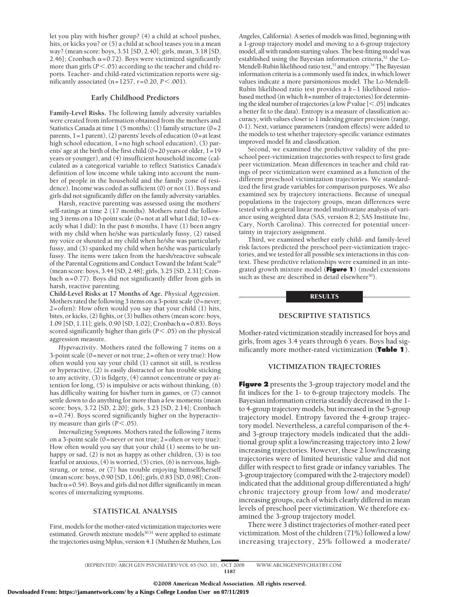let you play with his/her group? (4) a child at school pushes, hits, or kicks you? or (5) a child at school teases you in a mean way? (mean score: boys, 3.51 [SD, 2.40]; girls, mean, 3.18 [SD, 2.46]; Cronbach  $\alpha$ =0.72). Boys were victimized significantly more than girls ( $P < .05$ ) according to the teacher and child reports. Teacher- and child-rated victimization reports were sigmificantly associated  $(n=1257, r=0.20, P < .001)$ .

## **Early Childhood Predictors**

**Family-Level Risks.** The following family adversity variables were created from information obtained from the mothers and Statistics Canada at time  $1$  (5 months): (1) family structure (0=2 parents, 1=1 parent), (2) parents' levels of education (0=at least high school education, 1=no high school education), (3) parents' age at the birth of the first child  $(0=20$  years or older,  $1=19$ years or younger), and (4) insufficient household income (calculated as a categorical variable to reflect Statistics Canada's definition of low income while taking into account the number of people in the household and the family zone of residence). Income was coded as sufficient (0) or not (1). Boys and girls did not significantly differ on the family adversity variables.

Harsh, reactive parenting was assessed using the mothers' self-ratings at time 2 (17 months). Mothers rated the following 3 items on a 10-point scale (0=not at all what I did; 10=exactly what I did): In the past 6 months, I have (1) been angry with my child when he/she was particularly fussy, (2) raised my voice or shouted at my child when he/she was particularly fussy, and (3) spanked my child when he/she was particularly fussy. The items were taken from the harsh/reactive subscale of the Parental Cognitions and Conduct Toward the Infant Scale<sup>49</sup> (mean score: boys, 3.44 [SD, 2.48]; girls, 3.25 [SD, 2.31]; Cronbach  $\alpha$ =0.77). Boys did not significantly differ from girls in harsh, reactive parenting.

**Child-Level Risks at 17 Months of Age.** *Physical Aggression*. Mothers rated the following 3 items on a 3-point scale (0=never; 2=often): How often would you say that your child (1) hits, bites, or kicks, (2) fights, or (3) bullies others (mean score: boys,  $1.09$  [SD,  $1.11$ ]; girls, 0.90 [SD,  $1.02$ ]; Cronbach  $\alpha$  =0.83). Boys scored significantly higher than girls ( $P$ <.05) on the physical aggression measure.

*Hyperactivity*. Mothers rated the following 7 items on a 3-point scale (0=never or not true; 2=often or very true): How often would you say your child (1) cannot sit still, is restless or hyperactive, (2) is easily distracted or has trouble sticking to any activity, (3) is fidgety, (4) cannot concentrate or pay attention for long, (5) is impulsive or acts without thinking, (6) has difficulty waiting for his/her turn in games, or (7) cannot settle down to do anything for more than a few moments (mean score: boys, 3.72 [SD, 2.20]; girls, 3.23 [SD, 2.14]; Cronbach  $\alpha$ =0.74). Boys scored significantly higher on the hyperactivity measure than girls  $(P < .05)$ .

*Internalizing Symptoms*. Mothers rated the following 7 items on a 3-point scale (0=never or not true; 2=often or very true): How often would you say that your child (1) seems to be unhappy or sad, (2) is not as happy as other children, (3) is too fearful or anxious, (4) is worried, (5) cries, (6) is nervous, highstrung, or tense, or (7) has trouble enjoying himself/herself (mean score: boys, 0.90 [SD, 1.06]; girls, 0.83 [SD, 0.98]; Cronbach  $\alpha$  = 0.54). Boys and girls did not differ significantly in mean scores of internalizing symptoms.

#### **STATISTICAL ANALYSIS**

First, models for the mother-rated victimization trajectories were estimated. Growth mixture models<sup>50,51</sup> were applied to estimate the trajectories using Mplus, version 4.1 (Muthén & Muthén, Los Angeles, California). A series of models was fitted, beginning with a 1-group trajectory model and moving to a 6-group trajectory model, all with random starting values. The best-fitting model was established using the Bayesian information criteria,<sup>52</sup> the Lo-Mendell-Rubin likelihood ratio test,<sup>53</sup> and entropy.<sup>54</sup> The Bayesian information criteria is a commonly used fit index, in which lower values indicate a more parsimonious model. The Lo-Mendell-Rubin likelihood ratio test provides a *k*−1 likelihood ratio– based method (in which *k*=number of trajectories) for determining the ideal number of trajectories (a low*P* value [-.05] indicates a better fit to the data). Entropy is a measure of classification accuracy, with values closer to 1 indexing greater precision (range, 0-1). Next, variance parameters (random effects) were added to the models to test whether trajectory-specific variance estimates improved model fit and classification.

Second, we examined the predictive validity of the preschool peer-victimization trajectories with respect to first grade peer victimization. Mean differences in teacher and child ratings of peer victimization were examined as a function of the different preschool victimization trajectories. We standardized the first grade variables for comparison purposes. We also examined sex by trajectory interactions. Because of unequal populations in the trajectory groups, mean differences were tested with a general linear model multivariate analysis of variance using weighted data (SAS, version 8.2; SAS Institute Inc, Cary, North Carolina). This corrected for potential uncertainty in trajectory assignment.

Third, we examined whether early child- and family-level risk factors predicted the preschool peer-victimization trajectories, and we tested for all possible sex interactions in this context. These predictive relationships were examined in an integrated growth mixture model (**Figure 1**) (model extensions such as these are described in detail elsewhere<sup>50</sup>).

#### RESULTS

## **DESCRIPTIVE STATISTICS**

Mother-rated victimization steadily increased for boys and girls, from ages 3.4 years through 6 years. Boys had significantly more mother-rated victimization (**Table 1**).

## **VICTIMIZATION TRAJECTORIES**

**Figure 2** presents the 3-group trajectory model and the fit indices for the 1- to 6-group trajectory models. The Bayesian information criteria steadily decreased in the 1 to 4-group trajectory models, but increased in the 5-group trajectory model. Entropy favored the 4-group trajectory model. Nevertheless, a careful comparison of the 4 and 3-group trajectory models indicated that the additional group split a low/increasing trajectory into 2 low/ increasing trajectories. However, these 2 low/increasing trajectories were of limited heuristic value and did not differ with respect to first grade or infancy variables. The 3-group trajectory (compared with the 2-trajectory model) indicated that the additional group differentiated a high/ chronic trajectory group from low/ and moderate/ increasing groups, each of which clearly differed in mean levels of preschool peer victimization. We therefore examined the 3-group trajectory model.

There were 3 distinct trajectories of mother-rated peer victimization. Most of the children (71%) followed a low/ increasing trajectory, 25% followed a moderate/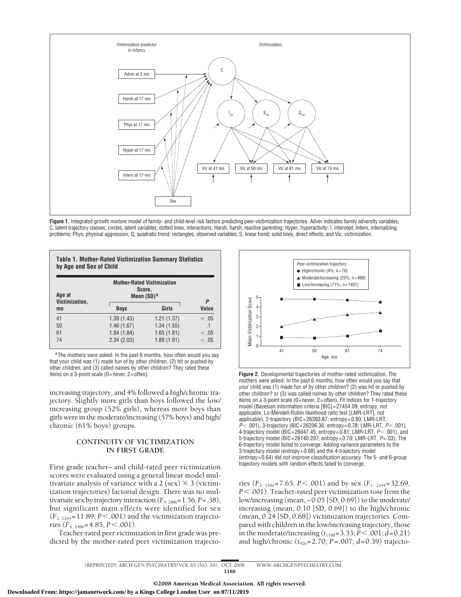

Figure 1. Integrated growth mixture model of family- and child-level risk factors predicting peer-victimization trajectories. Adver indicates family adversity variables; C, latent trajectory classes; circles, latent variables; dotted lines, interactions; Harsh, harsh, reactive parenting; Hyper, hyperactivity; I, intercept; Intern, internalizing problems; Phys, physical aggression; Q, quadratic trend; rectangles, observed variables; S, linear trend; solid lines, direct effects; and Vic, victimization.

| Age at<br>Victimization,<br>mo | <b>Mother-Rated Victimization</b><br>Score.<br>Mean $(SD)^a$ |            |            |
|--------------------------------|--------------------------------------------------------------|------------|------------|
|                                | <b>Boys</b>                                                  | Girls      | P<br>Value |
| 41                             | 1.39(1.43)                                                   | 1.21(1.37) | < 0.5      |
| 50                             | 1.46(1.67)                                                   | 1.34(1.55) | .1         |
| 61                             | 1.84(1.84)                                                   | 1.65(1.81) | <.05       |
| 74                             | 2.34(2.03)                                                   | 1.88(1.91) | <.05       |

aThe mothers were asked: In the past 6 months, how often would you say that your child was (1) made fun of by other children, (2) hit or pushed by other children, and  $(3)$  called names by other children? They rated these items on a 3-point scale (0=never, 2=often).

increasing trajectory, and 4% followed a high/chronic trajectory. Slightly more girls than boys followed the low/ increasing group (52% girls), whereas more boys than girls were in the moderate/increasing (57% boys) and high/ chronic (61% boys) groups.

# **CONTINUITY OF VICTIMIZATION IN FIRST GRADE**

First grade teacher– and child-rated peer victimization scores were evaluated using a general linear model multivariate analysis of variance with a 2 (sex)  $\times$  3 (victimization trajectories) factorial design. There was no multivariate sex by trajectory interaction  $(F_{4, 2486} = 1.56, P = .38)$ , but significant main effects were identified for sex  $(F_{2, 1243} = 11.89, P < .001)$  and the victimization trajectories ( $F_{4, 2486} = 4.85, P \le 0.001$ ).

Teacher-rated peer victimization in first grade was predicted by the mother-rated peer victimization trajecto-



**Figure 2.** Developmental trajectories of mother-rated victimization. The mothers were asked: In the past 6 months, how often would you say that your child was (1) made fun of by other children? (2) was hit or pushed by other children? or (3) was called names by other children? They rated these items on a 3-point scale (0 = never, 2 = often). Fit indices for 1-trajectory model (Bayesian information criteria [BIC] = 27454.09; entropy, not applicable; Lo-Mendell-Rubin likelihood ratio test [LMR-LRT], not applicable), 2-trajectory (BIC = 26393.87; entropy = 0.80; LMR-LRT, *P*-.001), 3-trajectory (BIC = 26206.36; entropy = 0.78; LMR-LRT, *P*-.001), 4-trajectory model (BIC = 26047.45; entropy = 0.81; LMR-LRT, *P*-.001), and 5-trajectory model (BIC = 26140.207; entropy = 0.70; LMR-LRT, *P*=.03). The 6-trajectory model failed to converge. Adding variance parameters to the 3-trajectory model (entropy = 0.68) and the 4-trajectory model (entropy = 0.64) did not improve classification accuracy. The 5- and 6-group trajectory models with random effects failed to converge.

ries ( $F_{2, 1244}$ = 7.65, *P* < .001) and by sex ( $F_{1, 1244}$ = 32.69, *P*-.001). Teacher-rated peer victimization rose from the low/increasing (mean, −0.05 [SD, 0.69]) to the moderate/ increasing (mean, 0.10 [SD, 0.69]) to the high/chronic (mean, 0.24 [SD, 0.68]) victimization trajectories. Compared with children in the low/increasing trajectory, those in the moderate/increasing (*t*1198=3.33; *P*-.001; *d*=0.21) and high/chronic ( $t_{926}$ =2.70; *P* = .007; *d*=0.39) trajecto-

(REPRINTED) ARCH GEN PSYCHIATRY/ VOL 65 (NO. 10), OCT 2008 WWW.ARCHGENPSYCHIATRY.COM 1188

**Downloaded From: https://jamanetwork.com/ by a Kings College London User on 07/11/2019**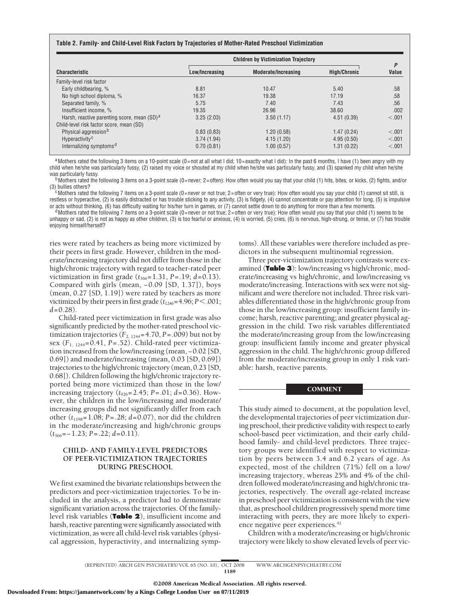#### **Table 2. Family- and Child-Level Risk Factors by Trajectories of Mother-Rated Preschool Victimization**

|                                                         | <b>Children by Victimization Trajectory</b> |                            |                     |            |
|---------------------------------------------------------|---------------------------------------------|----------------------------|---------------------|------------|
| <b>Characteristic</b>                                   | Low/Increasing                              | <b>Moderate/Increasing</b> | <b>High/Chronic</b> | P<br>Value |
| Family-level risk factor                                |                                             |                            |                     |            |
| Early childbearing, %                                   | 8.81                                        | 10.47                      | 5.40                | .58        |
| No high school diploma, %                               | 16.37                                       | 19.38                      | 17.19               | .58        |
| Separated family, %                                     | 5.75                                        | 7.40                       | 7.43                | .56        |
| Insufficient income, %                                  | 19.35                                       | 26.96                      | 38.60               | .002       |
| Harsh, reactive parenting score, mean (SD) <sup>a</sup> | 3.25(2.03)                                  | 3.50(1.17)                 | 4.51(0.39)          | < .001     |
| Child-level risk factor score, mean (SD)                |                                             |                            |                     |            |
| Physical aggression <sup>b</sup>                        | 0.83(0.83)                                  | 1.20(0.58)                 | 1.47(0.24)          | < 0.001    |
| Hyperactivity <sup>c</sup>                              | 3.74(1.94)                                  | 4.15(1.20)                 | 4.95(0.50)          | < 0.001    |
| Internalizing symptoms <sup>d</sup>                     | 0.70(0.81)                                  | 1.00(0.57)                 | 1.31(0.22)          | < 0.001    |

aMothers rated the following 3 items on a 10-point scale (0=not at all what I did; 10=exactly what I did): In the past 6 months, I have (1) been angry with my child when he/she was particularly fussy, (2) raised my voice or shouted at my child when he/she was particularly fussy, and (3) spanked my child when he/she

was particularly fussy.<br><sup>b</sup>Mothers rated the following 3 items on a 3-point scale (0=never; 2=often): How often would you say that your child (1) hits, bites, or kicks, (2) fights, and/or

(3) bullies others?<br><sup>c</sup>Mothers rated the following 7 items on a 3-point scale (0=never or not true; 2=often or very true): How often would you say your child (1) cannot sit still, is restless or hyperactive, (2) is easily distracted or has trouble sticking to any activity, (3) is fidgety, (4) cannot concentrate or pay attention for long, (5) is impulsive

or acts without thinking, (6) has difficulty waiting for his/her turn in games, or (7) cannot settle down to do anything for more than a few moments.<br><sup>d</sup>Mothers rated the following 7 items on a 3-point scale (0=never or n unhappy or sad, (2) is not as happy as other children, (3) is too fearful or anxious, (4) is worried, (5) cries, (6) is nervous, high-strung, or tense, or (7) has trouble enjoying himself/herself?

ries were rated by teachers as being more victimized by their peers in first grade. However, children in the moderate/increasing trajectory did not differ from those in the high/chronic trajectory with regard to teacher-rated peer victimization in first grade  $(t_{366}=1.31, P=.19; d=0.13)$ . Compared with girls (mean, −0.09 [SD, 1.37]), boys (mean, 0.27 [SD, 1.19]) were rated by teachers as more victimized by their peers in first grade  $(t_{1246} = 4.96; P < .001;$ *d*=0.28).

Child-rated peer victimization in first grade was also significantly predicted by the mother-rated preschool victimization trajectories  $(F_{2, 1244} = 4.70, P = .009)$  but not by sex (*F*1, 1244=0.41, *P*=.52). Child-rated peer victimization increased from the low/increasing (mean, −0.02 [SD, 0.69]) and moderate/increasing (mean, 0.03 [SD, 0.69]) trajectories to the high/chronic trajectory (mean, 0.23 [SD, 0.68]). Children following the high/chronic trajectory reported being more victimized than those in the low/ increasing trajectory (*t*926=2.45; *P*=.01; *d*=0.36). However, the children in the low/increasing and moderate/ increasing groups did not significantly differ from each other (*t*1198=1.08; *P*=.28; *d =*0.07), nor did the children in the moderate/increasing and high/chronic groups (*t*366=−1.23; *P*=.22; *d*=0.11).

# **CHILD- AND FAMILY-LEVEL PREDICTORS OF PEER-VICTIMIZATION TRAJECTORIES DURING PRESCHOOL**

We first examined the bivariate relationships between the predictors and peer-victimization trajectories. To be included in the analysis, a predictor had to demonstrate significant variation across the trajectories. Of the familylevel risk variables (**Table 2**), insufficient income and harsh, reactive parenting were significantly associated with victimization, as were all child-level risk variables (physical aggression, hyperactivity, and internalizing symptoms). All these variables were therefore included as predictors in the subsequent multinomial regression.

Three peer-victimization trajectory contrasts were examined (**Table 3**): low/increasing vs high/chronic, moderate/increasing vs high/chronic, and low/increasing vs moderate/increasing. Interactions with sex were not significant and were therefore not included. Three risk variables differentiated those in the high/chronic group from those in the low/increasing group: insufficient family income; harsh, reactive parenting; and greater physical aggression in the child. Two risk variables differentiated the moderate/increasing group from the low/increasing group: insufficient family income and greater physical aggression in the child. The high/chronic group differed from the moderate/increasing group in only 1 risk variable: harsh, reactive parents.

## COMMENT

This study aimed to document, at the population level, the developmental trajectories of peer victimization during preschool, their predictive validity with respect to early school-based peer victimization, and their early childhood family- and child-level predictors. Three trajectory groups were identified with respect to victimization by peers between 3.4 and 6.2 years of age. As expected, most of the children (71%) fell on a low/ increasing trajectory, whereas 25% and 4% of the children followed moderate/increasing and high/chronic trajectories, respectively. The overall age-related increase in preschool peer victimization is consistent with the view that, as preschool children progressively spend more time interacting with peers, they are more likely to experience negative peer experiences.<sup>41</sup>

Children with a moderate/increasing or high/chronic trajectory were likely to show elevated levels of peer vic-

(REPRINTED) ARCH GEN PSYCHIATRY/ VOL 65 (NO. 10), OCT 2008 WWW.ARCHGENPSYCHIATRY.COM 1189

©2008 American Medical Association. All rights reserved.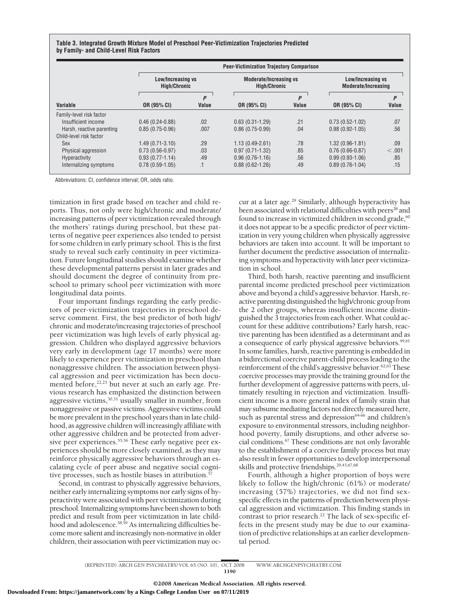**Table 3. Integrated Growth Mixture Model of Preschool Peer-Victimization Trajectories Predicted by Family- and Child-Level Risk Factors**

|                           |                                          | <b>Peer-Victimization Trajectory Comparison</b> |                                                      |            |                                                 |            |  |  |
|---------------------------|------------------------------------------|-------------------------------------------------|------------------------------------------------------|------------|-------------------------------------------------|------------|--|--|
|                           | Low/Increasing vs<br><b>High/Chronic</b> |                                                 | <b>Moderate/Increasing vs</b><br><b>High/Chronic</b> |            | Low/Increasing vs<br><b>Moderate/Increasing</b> |            |  |  |
| Variable                  | OR (95% CI)                              | P<br>Value                                      | OR (95% CI)                                          | P<br>Value | OR (95% CI)                                     | P<br>Value |  |  |
| Family-level risk factor  |                                          |                                                 |                                                      |            |                                                 |            |  |  |
| Insufficient income       | $0.46(0.24-0.88)$                        | .02                                             | $0.63(0.31-1.29)$                                    | .21        | $0.73(0.52 - 1.02)$                             | .07        |  |  |
| Harsh, reactive parenting | $0.85(0.75-0.96)$                        | .007                                            | $0.86(0.75-0.99)$                                    | .04        | $0.98(0.92 - 1.05)$                             | .56        |  |  |
| Child-level risk factor   |                                          |                                                 |                                                      |            |                                                 |            |  |  |
| <b>Sex</b>                | $1.49(0.71-3.10)$                        | .29                                             | $1.13(0.49-2.61)$                                    | .78        | $1.32(0.96 - 1.81)$                             | .09        |  |  |
| Physical aggression       | $0.73(0.56-0.97)$                        | .03                                             | $0.97(0.71-1.32)$                                    | .85        | $0.76(0.66 - 0.87)$                             | < 0.01     |  |  |
| Hyperactivity             | $0.93(0.77 - 1.14)$                      | .49                                             | $0.96(0.76 - 1.16)$                                  | .56        | $0.99(0.93 - 1.06)$                             | .85        |  |  |
| Internalizing symptoms    | $0.78(0.59-1.05)$                        | $\cdot$ 1                                       | $0.88(0.62 - 1.26)$                                  | .49        | $0.89(0.76-1.04)$                               | .15        |  |  |

Abbreviations: CI, confidence interval; OR, odds ratio.

timization in first grade based on teacher and child reports. Thus, not only were high/chronic and moderate/ increasing patterns of peer victimization revealed through the mothers' ratings during preschool, but these patterns of negative peer experiences also tended to persist for some children in early primary school. This is the first study to reveal such early continuity in peer victimization. Future longitudinal studies should examine whether these developmental patterns persist in later grades and should document the degree of continuity from preschool to primary school peer victimization with more longitudinal data points.

Four important findings regarding the early predictors of peer-victimization trajectories in preschool deserve comment. First, the best predictor of both high/ chronic and moderate/increasing trajectories of preschool peer victimization was high levels of early physical aggression. Children who displayed aggressive behaviors very early in development (age 17 months) were more likely to experience peer victimization in preschool than nonaggressive children. The association between physical aggression and peer victimization has been documented before, $22,23$  but never at such an early age. Previous research has emphasized the distinction between aggressive victims,<sup>30,31</sup> usually smaller in number, from nonaggressive or passive victims. Aggressive victims could be more prevalent in the preschool years than in late childhood, as aggressive children will increasingly affiliate with other aggressive children and be protected from adversive peer experiences.<sup>55,56</sup> These early negative peer experiences should be more closely examined, as they may reinforce physically aggressive behaviors through an escalating cycle of peer abuse and negative social cognitive processes, such as hostile biases in attribution.<sup>57</sup>

Second, in contrast to physically aggressive behaviors, neither early internalizing symptoms nor early signs of hyperactivity were associated with peer victimization during preschool. Internalizing symptoms have been shown to both predict and result from peer victimization in late childhood and adolescence.<sup>58,59</sup> As internalizing difficulties become more salient and increasingly non-normative in older children, their association with peer victimization may oc-

cur at a later age.<sup>29</sup> Similarly, although hyperactivity has been associated with relational difficulties with peers<sup>28</sup> and found to increase in victimized children in second grade,<sup>60</sup> it does not appear to be a specific predictor of peer victimization in very young children when physically aggressive behaviors are taken into account. It will be important to further document the predictive association of internalizing symptoms and hyperactivity with later peer victimization in school.

Third, both harsh, reactive parenting and insufficient parental income predicted preschool peer victimization above and beyond a child's aggressive behavior. Harsh, reactive parenting distinguished the high/chronic group from the 2 other groups, whereas insufficient income distinguished the 3 trajectories from each other. What could account for these additive contributions? Early harsh, reactive parenting has been identified as a determinant and as a consequence of early physical aggressive behaviors.<sup>49,61</sup> In some families, harsh, reactive parenting is embedded in a bidirectional coercive parent-child process leading to the reinforcement of the child's aggressive behavior.<sup>62,63</sup> These coercive processes may provide the training ground for the further development of aggressive patterns with peers, ultimately resulting in rejection and victimization. Insufficient income is a more general index of family strain that may subsume mediating factors not directly measured here, such as parental stress and depression<sup>64-66</sup> and children's exposure to environmental stressors, including neighborhood poverty, family disruptions, and other adverse social conditions.67 These conditions are not only favorable to the establishment of a coercive family process but may also result in fewer opportunities to develop interpersonal skills and protective friendships.<sup>29,43,67,68</sup>

Fourth, although a higher proportion of boys were likely to follow the high/chronic (61%) or moderate/ increasing (57%) trajectories, we did not find sexspecific effects in the patterns of prediction between physical aggression and victimization. This finding stands in contrast to prior research.<sup>22</sup> The lack of sex-specific effects in the present study may be due to our examination of predictive relationships at an earlier developmental period.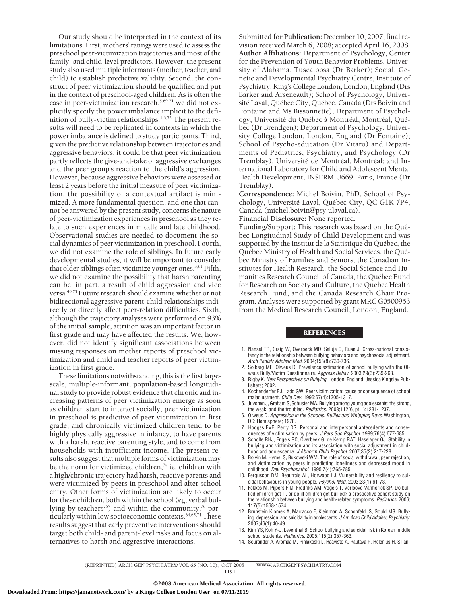Our study should be interpreted in the context of its limitations. First, mothers' ratings were used to assess the preschool peer-victimization trajectories and most of the family- and child-level predictors. However, the present study also used multiple informants (mother, teacher, and child) to establish predictive validity. Second, the construct of peer victimization should be qualified and put in the context of preschool-aged children. As is often the case in peer-victimization research,  $5,69-71$  we did not explicitly specify the power imbalance implicit to the definition of bully-victim relationships.<sup>1,3,72</sup> The present results will need to be replicated in contexts in which the power imbalance is defined to study participants. Third, given the predictive relationship between trajectories and aggressive behaviors, it could be that peer victimization partly reflects the give-and-take of aggressive exchanges and the peer group's reaction to the child's aggression. However, because aggressive behaviors were assessed at least 2 years before the initial measure of peer victimization, the possibility of a contextual artifact is minimized. A more fundamental question, and one that cannot be answered by the present study, concerns the nature of peer-victimization experiences in preschool as they relate to such experiences in middle and late childhood. Observational studies are needed to document the social dynamics of peer victimization in preschool. Fourth, we did not examine the role of siblings. In future early developmental studies, it will be important to consider that older siblings often victimize younger ones.3,61 Fifth, we did not examine the possibility that harsh parenting can be, in part, a result of child aggression and vice versa.49,73 Future research should examine whether or not bidirectional aggressive parent-child relationships indirectly or directly affect peer-relation difficulties. Sixth, although the trajectory analyses were performed on 93% of the initial sample, attrition was an important factor in first grade and may have affected the results. We, however, did not identify significant associations between missing responses on mother reports of preschool victimization and child and teacher reports of peer victimization in first grade.

These limitations notwithstanding, this is the first largescale, multiple-informant, population-based longitudinal study to provide robust evidence that chronic and increasing patterns of peer victimization emerge as soon as children start to interact socially, peer victimization in preschool is predictive of peer victimization in first grade, and chronically victimized children tend to be highly physically aggressive in infancy, to have parents with a harsh, reactive parenting style, and to come from households with insufficient income. The present results also suggest that multiple forms of victimization may be the norm for victimized children, $^{74}$  ie, children with a high/chronic trajectory had harsh, reactive parents and were victimized by peers in preschool and after school entry. Other forms of victimization are likely to occur for these children, both within the school (eg, verbal bullying by teachers<sup>75</sup>) and within the community,<sup>76</sup> particularly within low socioeconomic contexts.<sup>64,65,74</sup> These results suggest that early preventive interventions should target both child- and parent-level risks and focus on alternatives to harsh and aggressive interactions.

**Submitted for Publication:** December 10, 2007; final revision received March 6, 2008; accepted April 16, 2008. **Author Affiliations:** Department of Psychology, Center for the Prevention of Youth Behavior Problems, University of Alabama, Tuscaloosa (Dr Barker); Social, Genetic and Developmental Psychiatry Centre, Institute of Psychiatry, King's College London, London, England (Drs Barker and Arseneault); School of Psychology, Université Laval, Québec City, Québec, Canada (Drs Boivin and Fontaine and Ms Bissonnette); Department of Psychology, Université du Québec à Montréal, Montréal, Québec (Dr Brendgen); Department of Psychology, University College London, London, England (Dr Fontaine); School of Psycho-education (Dr Vitaro) and Departments of Pediatrics, Psychiatry, and Psychology (Dr Tremblay), Université de Montréal, Montréal; and International Laboratory for Child and Adolescent Mental Health Development, INSERM U669, Paris, France (Dr Tremblay).

**Correspondence:** Michel Boivin, PhD, School of Psychology, Université Laval, Québec City, QC G1K 7P4, Canada (michel.boivin@psy.ulaval.ca).

**Financial Disclosure:** None reported.

Funding/Support: This research was based on the Québec Longitudinal Study of Child Development and was supported by the Institut de la Statistique du Québec, the Québec Ministry of Health and Social Services, the Québec Ministry of Families and Seniors, the Canadian Institutes for Health Research, the Social Science and Humanities Research Council of Canada, the Québec Fund for Research on Society and Culture, the Québec Health Research Fund, and the Canada Research Chair Program. Analyses were supported by grant MRC G0500953 from the Medical Research Council, London, England.

## **REFERENCES**

- 1. Nansel TR, Craig W, Overpeck MD, Saluja G, Ruan J. Cross-national consistency in the relationship between bullying behaviors and psychosocial adjustment. *Arch Pediatr Adolesc Med*. 2004;158(8):730-736.
- 2. Solberg ME, Olweus D. Prevalence estimation of school bullying with the Olweus Bully/Victim Questionnaire. *Aggress Behav*. 2003;29(3):239-268.
- 3. Rigby K. *New Perspectives on Bullying.* London, England: Jessica Kingsley Publishers; 2002.
- 4. Kochenderfer BJ, Ladd GW. Peer victimization: cause or consequence of school maladjustment. *Child Dev*. 1996;67(4):1305-1317.
- 5. Juvonen J, Graham S, Schuster MA. Bullying among young adolescents: the strong, the weak, and the troubled. *Pediatrics*. 2003;112(6, pt 1):1231-1237.
- 6. Olweus D. *Aggression in the Schools: Bullies and Whipping Boys.* Washington, DC: Hemisphere; 1978.
- 7. Hodges EVE, Perry DG. Personal and interpersonal antecedents and consequences of victimisation by peers. *J Pers Soc Psychol*. 1999;76(4):677-685.
- 8. Scholte RHJ, Engels RC, Overbeek G, de Kemp RAT, Haselager GJ. Stability in bullying and victimization and its association with social adjustment in childhood and adolescence. *J Abnorm Child Psychol*. 2007;35(2):217-228.
- 9. Boivin M, Hymel S, Bukowski WM. The role of social withdrawal, peer rejection, and victimization by peers in predicting loneliness and depressed mood in childhood. *Dev Psychopathol*. 1995;7(4):765-785.
- 10. Fergusson DM, Beautrais AL, Horwood LJ. Vulnerability and resiliency to suicidal behaviours in young people. *Psychol Med*. 2003;33(1):61-73.
- 11. Fekkes M, Pijpers FIM, Fredriks AM, Vogels T, Verloove-Vanhorick SP. Do bullied children get ill, or do ill children get bullied? a prospective cohort study on the relationship between bullying and health-related symptoms. *Pediatrics*. 2006; 117(5):1568-1574.
- 12. Brunstein Klomek A, Marracco F, Kleinman A, Schonfeld IS, Gould MS. Bullying, depression, and suicidality in adolescents. *J Am Acad Child Adolesc Psychiatry*. 2007;46(1):40-49.
- 13. Kim YS, Koh Y-J, Leventhal B. School bullying and suicidal risk in Korean middle school students. *Pediatrics*. 2005;115(2):357-363.
- 14. Sourander A, Aromaa M, Pihlakoski L, Haavisto A, Rautava P, Helenius H, Sillan-